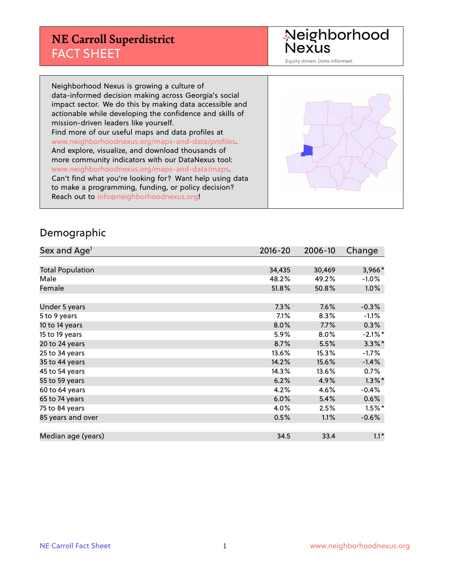### **NE Carroll Superdistrict** FACT SHEET

Neighborhood<br>Nexus

Equity driven. Data informed.

Neighborhood Nexus is growing a culture of data-informed decision making across Georgia's social impact sector. We do this by making data accessible and actionable while developing the confidence and skills of mission-driven leaders like yourself. Find more of our useful maps and data profiles at www.neighborhoodnexus.org/maps-and-data/profiles. And explore, visualize, and download thousands of more community indicators with our DataNexus tool: www.neighborhoodnexus.org/maps-and-data/maps. Can't find what you're looking for? Want help using data to make a programming, funding, or policy decision? Reach out to [info@neighborhoodnexus.org!](mailto:info@neighborhoodnexus.org)



#### Demographic

| Sex and Age <sup>1</sup> | $2016 - 20$ | 2006-10 | Change     |
|--------------------------|-------------|---------|------------|
|                          |             |         |            |
| <b>Total Population</b>  | 34,435      | 30,469  | 3,966*     |
| Male                     | 48.2%       | 49.2%   | $-1.0\%$   |
| Female                   | 51.8%       | 50.8%   | $1.0\%$    |
|                          |             |         |            |
| Under 5 years            | 7.3%        | 7.6%    | $-0.3%$    |
| 5 to 9 years             | $7.1\%$     | 8.3%    | $-1.1\%$   |
| 10 to 14 years           | 8.0%        | 7.7%    | 0.3%       |
| 15 to 19 years           | 5.9%        | 8.0%    | $-2.1\%$ * |
| 20 to 24 years           | 8.7%        | 5.5%    | $3.3\%$ *  |
| 25 to 34 years           | 13.6%       | 15.3%   | $-1.7%$    |
| 35 to 44 years           | 14.2%       | 15.6%   | $-1.4%$    |
| 45 to 54 years           | 14.3%       | 13.6%   | 0.7%       |
| 55 to 59 years           | 6.2%        | 4.9%    | $1.3\%$ *  |
| 60 to 64 years           | 4.2%        | 4.6%    | $-0.4%$    |
| 65 to 74 years           | 6.0%        | 5.4%    | 0.6%       |
| 75 to 84 years           | 4.0%        | 2.5%    | $1.5\%$ *  |
| 85 years and over        | 0.5%        | 1.1%    | $-0.6%$    |
|                          |             |         |            |
| Median age (years)       | 34.5        | 33.4    | $1.1*$     |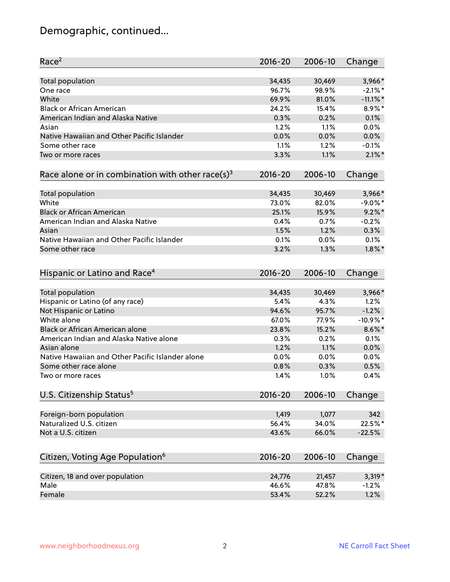# Demographic, continued...

| Race <sup>2</sup>                                            | $2016 - 20$ | 2006-10 | Change      |
|--------------------------------------------------------------|-------------|---------|-------------|
| Total population                                             | 34,435      | 30,469  | 3,966*      |
| One race                                                     | 96.7%       | 98.9%   | $-2.1\%$ *  |
| White                                                        | 69.9%       | 81.0%   | $-11.1\%$ * |
| <b>Black or African American</b>                             | 24.2%       | 15.4%   | 8.9%*       |
| American Indian and Alaska Native                            | 0.3%        | 0.2%    | 0.1%        |
| Asian                                                        | 1.2%        | 1.1%    | 0.0%        |
| Native Hawaiian and Other Pacific Islander                   | 0.0%        | 0.0%    | 0.0%        |
| Some other race                                              | 1.1%        | 1.2%    | $-0.1%$     |
| Two or more races                                            | 3.3%        | 1.1%    | $2.1\%$ *   |
| Race alone or in combination with other race(s) <sup>3</sup> | $2016 - 20$ | 2006-10 | Change      |
|                                                              |             |         |             |
| Total population                                             | 34,435      | 30,469  | 3,966*      |
| White                                                        | 73.0%       | 82.0%   | $-9.0\%$ *  |
| <b>Black or African American</b>                             | 25.1%       | 15.9%   | $9.2\%$ *   |
| American Indian and Alaska Native                            | 0.4%        | 0.7%    | $-0.2%$     |
| Asian                                                        | 1.5%        | 1.2%    | 0.3%        |
| Native Hawaiian and Other Pacific Islander                   | 0.1%        | 0.0%    | 0.1%        |
| Some other race                                              | 3.2%        | 1.3%    | $1.8\%$ *   |
|                                                              |             |         |             |
| Hispanic or Latino and Race <sup>4</sup>                     | $2016 - 20$ | 2006-10 | Change      |
|                                                              |             |         |             |
| <b>Total population</b>                                      | 34,435      | 30,469  | 3,966*      |
| Hispanic or Latino (of any race)                             | 5.4%        | 4.3%    | 1.2%        |
| Not Hispanic or Latino                                       | 94.6%       | 95.7%   | $-1.2%$     |
| White alone                                                  | 67.0%       | 77.9%   | $-10.9%$ *  |
| Black or African American alone                              | 23.8%       | 15.2%   | $8.6\%$ *   |
| American Indian and Alaska Native alone                      | 0.3%        | 0.2%    | 0.1%        |
| Asian alone                                                  | 1.2%        | 1.1%    | 0.0%        |
| Native Hawaiian and Other Pacific Islander alone             | 0.0%        | 0.0%    | 0.0%        |
| Some other race alone                                        | 0.8%        | 0.3%    | 0.5%        |
| Two or more races                                            | 1.4%        | 1.0%    | 0.4%        |
| U.S. Citizenship Status <sup>5</sup>                         | $2016 - 20$ | 2006-10 | Change      |
|                                                              |             |         |             |
| Foreign-born population                                      | 1,419       | 1,077   | 342         |
| Naturalized U.S. citizen                                     | 56.4%       | 34.0%   | 22.5%*      |
| Not a U.S. citizen                                           | 43.6%       | 66.0%   | $-22.5%$    |
| Citizen, Voting Age Population <sup>6</sup>                  | 2016-20     | 2006-10 | Change      |
| Citizen, 18 and over population                              | 24,776      | 21,457  | $3,319*$    |
| Male                                                         | 46.6%       | 47.8%   | $-1.2%$     |
| Female                                                       | 53.4%       | 52.2%   | 1.2%        |
|                                                              |             |         |             |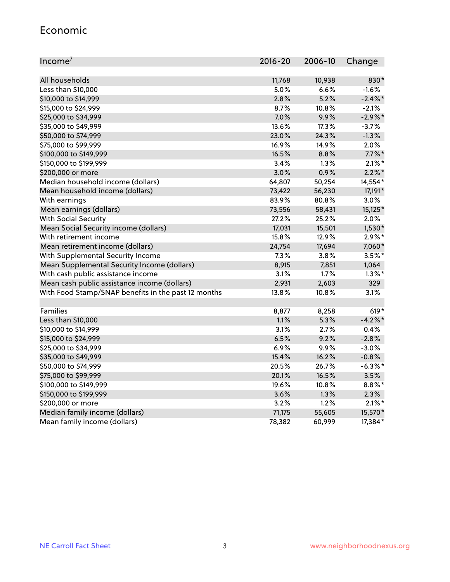#### Economic

| Income <sup>7</sup>                                 | 2016-20 | 2006-10 | Change     |
|-----------------------------------------------------|---------|---------|------------|
|                                                     |         |         |            |
| All households                                      | 11,768  | 10,938  | 830*       |
| Less than \$10,000                                  | 5.0%    | 6.6%    | $-1.6%$    |
| \$10,000 to \$14,999                                | 2.8%    | 5.2%    | $-2.4\%$ * |
| \$15,000 to \$24,999                                | 8.7%    | 10.8%   | $-2.1%$    |
| \$25,000 to \$34,999                                | 7.0%    | 9.9%    | $-2.9\%$ * |
| \$35,000 to \$49,999                                | 13.6%   | 17.3%   | $-3.7%$    |
| \$50,000 to \$74,999                                | 23.0%   | 24.3%   | $-1.3%$    |
| \$75,000 to \$99,999                                | 16.9%   | 14.9%   | 2.0%       |
| \$100,000 to \$149,999                              | 16.5%   | 8.8%    | $7.7\%$ *  |
| \$150,000 to \$199,999                              | 3.4%    | 1.3%    | $2.1\%$ *  |
| \$200,000 or more                                   | 3.0%    | 0.9%    | $2.2\%$ *  |
| Median household income (dollars)                   | 64,807  | 50,254  | 14,554*    |
| Mean household income (dollars)                     | 73,422  | 56,230  | 17,191*    |
| With earnings                                       | 83.9%   | 80.8%   | 3.0%       |
| Mean earnings (dollars)                             | 73,556  | 58,431  | $15,125*$  |
| <b>With Social Security</b>                         | 27.2%   | 25.2%   | 2.0%       |
| Mean Social Security income (dollars)               | 17,031  | 15,501  | $1,530*$   |
| With retirement income                              | 15.8%   | 12.9%   | $2.9\%*$   |
| Mean retirement income (dollars)                    | 24,754  | 17,694  | 7,060*     |
| With Supplemental Security Income                   | 7.3%    | 3.8%    | $3.5%$ *   |
| Mean Supplemental Security Income (dollars)         | 8,915   | 7,851   | 1,064      |
| With cash public assistance income                  | 3.1%    | 1.7%    | $1.3\%$ *  |
| Mean cash public assistance income (dollars)        | 2,931   | 2,603   | 329        |
| With Food Stamp/SNAP benefits in the past 12 months | 13.8%   | 10.8%   | 3.1%       |
|                                                     |         |         |            |
| Families                                            | 8,877   | 8,258   | $619*$     |
| Less than \$10,000                                  | 1.1%    | 5.3%    | $-4.2%$ *  |
| \$10,000 to \$14,999                                | 3.1%    | 2.7%    | 0.4%       |
| \$15,000 to \$24,999                                | 6.5%    | 9.2%    | $-2.8%$    |
| \$25,000 to \$34,999                                | 6.9%    | 9.9%    | $-3.0%$    |
| \$35,000 to \$49,999                                | 15.4%   | 16.2%   | $-0.8%$    |
| \$50,000 to \$74,999                                | 20.5%   | 26.7%   | $-6.3\%$ * |
| \$75,000 to \$99,999                                | 20.1%   | 16.5%   | 3.5%       |
| \$100,000 to \$149,999                              | 19.6%   | 10.8%   | $8.8\%$ *  |
| \$150,000 to \$199,999                              | 3.6%    | 1.3%    | 2.3%       |
| \$200,000 or more                                   | 3.2%    | 1.2%    | $2.1\%$ *  |
| Median family income (dollars)                      | 71,175  | 55,605  | 15,570*    |
| Mean family income (dollars)                        | 78,382  | 60,999  | 17,384*    |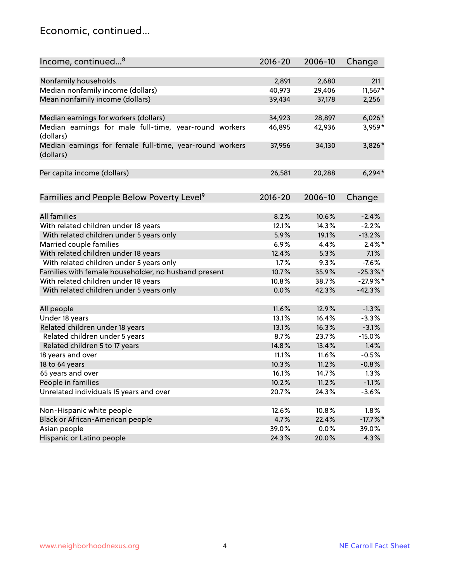### Economic, continued...

| Income, continued <sup>8</sup>                                        | $2016 - 20$ | 2006-10 | Change      |
|-----------------------------------------------------------------------|-------------|---------|-------------|
|                                                                       |             |         |             |
| Nonfamily households                                                  | 2,891       | 2,680   | 211         |
| Median nonfamily income (dollars)                                     | 40,973      | 29,406  | $11,567*$   |
| Mean nonfamily income (dollars)                                       | 39,434      | 37,178  | 2,256       |
| Median earnings for workers (dollars)                                 | 34,923      | 28,897  | $6,026*$    |
| Median earnings for male full-time, year-round workers                | 46,895      | 42,936  | 3,959*      |
| (dollars)                                                             |             |         |             |
| Median earnings for female full-time, year-round workers<br>(dollars) | 37,956      | 34,130  | 3,826*      |
| Per capita income (dollars)                                           | 26,581      | 20,288  | $6,294*$    |
|                                                                       |             |         |             |
| Families and People Below Poverty Level <sup>9</sup>                  | $2016 - 20$ | 2006-10 | Change      |
|                                                                       |             |         |             |
| <b>All families</b>                                                   | 8.2%        | 10.6%   | $-2.4%$     |
| With related children under 18 years                                  | 12.1%       | 14.3%   | $-2.2%$     |
| With related children under 5 years only                              | 5.9%        | 19.1%   | $-13.2%$    |
| Married couple families                                               | 6.9%        | 4.4%    | $2.4\%$ *   |
| With related children under 18 years                                  | 12.4%       | 5.3%    | 7.1%        |
| With related children under 5 years only                              | 1.7%        | 9.3%    | $-7.6%$     |
| Families with female householder, no husband present                  | 10.7%       | 35.9%   | $-25.3%$    |
| With related children under 18 years                                  | 10.8%       | 38.7%   | $-27.9%$ *  |
| With related children under 5 years only                              | 0.0%        | 42.3%   | $-42.3%$    |
| All people                                                            | 11.6%       | 12.9%   | $-1.3%$     |
| Under 18 years                                                        | 13.1%       | 16.4%   | $-3.3%$     |
| Related children under 18 years                                       | 13.1%       | 16.3%   | $-3.1%$     |
| Related children under 5 years                                        | 8.7%        | 23.7%   | $-15.0%$    |
| Related children 5 to 17 years                                        | 14.8%       | 13.4%   | 1.4%        |
| 18 years and over                                                     | 11.1%       | 11.6%   | $-0.5%$     |
|                                                                       |             |         |             |
| 18 to 64 years                                                        | 10.3%       | 11.2%   | $-0.8%$     |
| 65 years and over                                                     | 16.1%       | 14.7%   | 1.3%        |
| People in families                                                    | 10.2%       | 11.2%   | $-1.1%$     |
| Unrelated individuals 15 years and over                               | 20.7%       | 24.3%   | $-3.6%$     |
|                                                                       |             |         |             |
| Non-Hispanic white people                                             | 12.6%       | 10.8%   | 1.8%        |
| Black or African-American people                                      | 4.7%        | 22.4%   | $-17.7\%$ * |
| Asian people                                                          | 39.0%       | 0.0%    | 39.0%       |
| Hispanic or Latino people                                             | 24.3%       | 20.0%   | 4.3%        |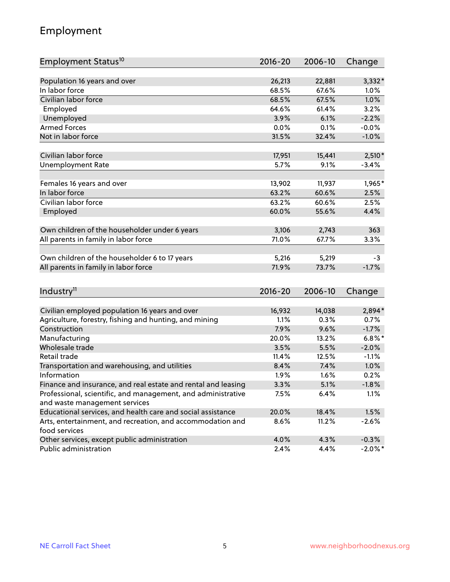## Employment

| Employment Status <sup>10</sup>                                             | $2016 - 20$ | 2006-10 | Change     |
|-----------------------------------------------------------------------------|-------------|---------|------------|
|                                                                             |             |         |            |
| Population 16 years and over                                                | 26,213      | 22,881  | 3,332*     |
| In labor force                                                              | 68.5%       | 67.6%   | 1.0%       |
| Civilian labor force                                                        | 68.5%       | 67.5%   | 1.0%       |
| Employed                                                                    | 64.6%       | 61.4%   | 3.2%       |
| Unemployed                                                                  | 3.9%        | 6.1%    | $-2.2%$    |
| <b>Armed Forces</b>                                                         | 0.0%        | 0.1%    | $-0.0%$    |
| Not in labor force                                                          | 31.5%       | 32.4%   | $-1.0%$    |
|                                                                             |             |         |            |
| Civilian labor force                                                        | 17,951      | 15,441  | $2,510*$   |
| <b>Unemployment Rate</b>                                                    | 5.7%        | 9.1%    | $-3.4%$    |
| Females 16 years and over                                                   | 13,902      | 11,937  | 1,965*     |
| In labor force                                                              | 63.2%       | 60.6%   | 2.5%       |
| Civilian labor force                                                        | 63.2%       | 60.6%   | 2.5%       |
| Employed                                                                    | 60.0%       | 55.6%   | 4.4%       |
|                                                                             |             |         |            |
| Own children of the householder under 6 years                               | 3,106       | 2,743   | 363        |
| All parents in family in labor force                                        | 71.0%       | 67.7%   | 3.3%       |
|                                                                             |             |         |            |
| Own children of the householder 6 to 17 years                               | 5,216       | 5,219   | $-3$       |
| All parents in family in labor force                                        | 71.9%       | 73.7%   | $-1.7%$    |
|                                                                             |             |         |            |
| Industry <sup>11</sup>                                                      | $2016 - 20$ | 2006-10 | Change     |
|                                                                             |             |         |            |
| Civilian employed population 16 years and over                              | 16,932      | 14,038  | 2,894*     |
| Agriculture, forestry, fishing and hunting, and mining                      | 1.1%        | 0.3%    | 0.7%       |
| Construction                                                                | 7.9%        | 9.6%    | $-1.7%$    |
| Manufacturing                                                               | 20.0%       | 13.2%   | $6.8\%$ *  |
| Wholesale trade                                                             | 3.5%        | 5.5%    | $-2.0%$    |
| Retail trade                                                                | 11.4%       | 12.5%   | $-1.1%$    |
| Transportation and warehousing, and utilities                               | 8.4%        | 7.4%    | 1.0%       |
| Information                                                                 | 1.9%        | 1.6%    | 0.2%       |
| Finance and insurance, and real estate and rental and leasing               | 3.3%        | 5.1%    | $-1.8%$    |
| Professional, scientific, and management, and administrative                | 7.5%        | 6.4%    | 1.1%       |
| and waste management services                                               |             |         |            |
| Educational services, and health care and social assistance                 | 20.0%       | 18.4%   | 1.5%       |
| Arts, entertainment, and recreation, and accommodation and<br>food services | 8.6%        | 11.2%   | $-2.6%$    |
| Other services, except public administration                                | 4.0%        | 4.3%    | $-0.3%$    |
| Public administration                                                       | 2.4%        | 4.4%    | $-2.0\%$ * |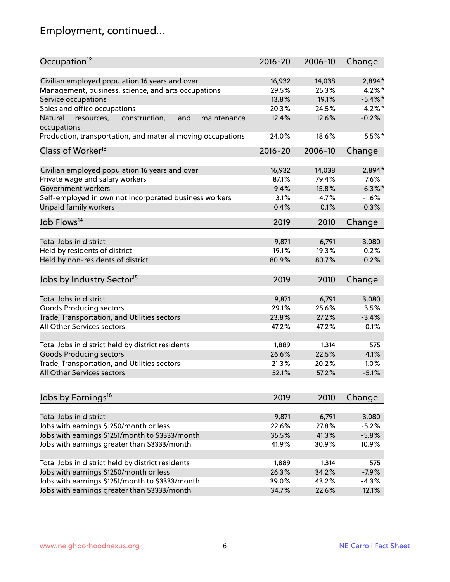# Employment, continued...

| Occupation <sup>12</sup>                                     | $2016 - 20$ | 2006-10 | Change     |
|--------------------------------------------------------------|-------------|---------|------------|
| Civilian employed population 16 years and over               | 16,932      | 14,038  | 2,894*     |
| Management, business, science, and arts occupations          | 29.5%       | 25.3%   | $4.2\%$ *  |
| Service occupations                                          | 13.8%       | 19.1%   | $-5.4\%$ * |
| Sales and office occupations                                 | 20.3%       | 24.5%   | $-4.2%$ *  |
| Natural<br>and<br>resources,<br>construction,<br>maintenance | 12.4%       | 12.6%   | $-0.2%$    |
| occupations                                                  |             |         |            |
| Production, transportation, and material moving occupations  | 24.0%       | 18.6%   | 5.5%*      |
| Class of Worker <sup>13</sup>                                | $2016 - 20$ | 2006-10 | Change     |
| Civilian employed population 16 years and over               | 16,932      | 14,038  | 2,894*     |
| Private wage and salary workers                              | 87.1%       | 79.4%   | 7.6%       |
| Government workers                                           | 9.4%        | 15.8%   | $-6.3\%$ * |
| Self-employed in own not incorporated business workers       | 3.1%        | 4.7%    | $-1.6%$    |
| Unpaid family workers                                        | 0.4%        | 0.1%    | 0.3%       |
| Job Flows <sup>14</sup>                                      | 2019        | 2010    | Change     |
|                                                              |             |         |            |
| Total Jobs in district                                       | 9,871       | 6,791   | 3,080      |
| Held by residents of district                                | 19.1%       | 19.3%   | $-0.2%$    |
| Held by non-residents of district                            | 80.9%       | 80.7%   | 0.2%       |
| Jobs by Industry Sector <sup>15</sup>                        | 2019        | 2010    | Change     |
| Total Jobs in district                                       | 9,871       | 6,791   | 3,080      |
| Goods Producing sectors                                      | 29.1%       | 25.6%   | 3.5%       |
| Trade, Transportation, and Utilities sectors                 | 23.8%       | 27.2%   | $-3.4%$    |
| All Other Services sectors                                   | 47.2%       | 47.2%   | $-0.1%$    |
|                                                              |             |         |            |
| Total Jobs in district held by district residents            | 1,889       | 1,314   | 575        |
| <b>Goods Producing sectors</b>                               | 26.6%       | 22.5%   | 4.1%       |
| Trade, Transportation, and Utilities sectors                 | 21.3%       | 20.2%   | 1.0%       |
| All Other Services sectors                                   | 52.1%       | 57.2%   | $-5.1%$    |
|                                                              |             |         |            |
| Jobs by Earnings <sup>16</sup>                               | 2019        | 2010    | Change     |
| Total Jobs in district                                       | 9,871       | 6,791   | 3,080      |
| Jobs with earnings \$1250/month or less                      | 22.6%       | 27.8%   | $-5.2%$    |
| Jobs with earnings \$1251/month to \$3333/month              | 35.5%       | 41.3%   | $-5.8%$    |
| Jobs with earnings greater than \$3333/month                 | 41.9%       | 30.9%   | 10.9%      |
|                                                              |             |         |            |
| Total Jobs in district held by district residents            | 1,889       | 1,314   | 575        |
| Jobs with earnings \$1250/month or less                      | 26.3%       | 34.2%   | $-7.9%$    |
| Jobs with earnings \$1251/month to \$3333/month              | 39.0%       | 43.2%   | $-4.3%$    |
| Jobs with earnings greater than \$3333/month                 | 34.7%       | 22.6%   | 12.1%      |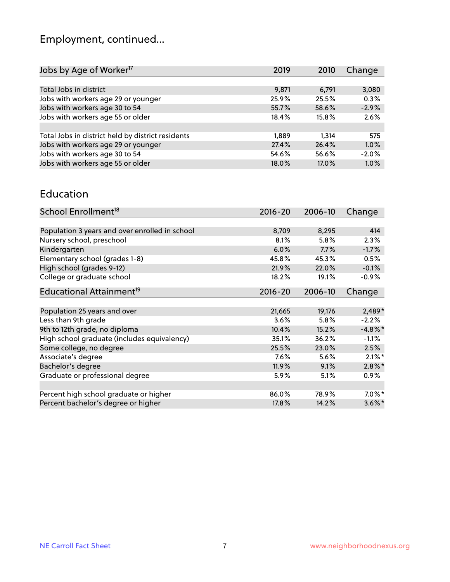# Employment, continued...

| Jobs by Age of Worker <sup>17</sup>               | 2019  | 2010  | Change  |
|---------------------------------------------------|-------|-------|---------|
|                                                   |       |       |         |
| Total Jobs in district                            | 9,871 | 6,791 | 3,080   |
| Jobs with workers age 29 or younger               | 25.9% | 25.5% | 0.3%    |
| Jobs with workers age 30 to 54                    | 55.7% | 58.6% | $-2.9%$ |
| Jobs with workers age 55 or older                 | 18.4% | 15.8% | 2.6%    |
|                                                   |       |       |         |
| Total Jobs in district held by district residents | 1,889 | 1.314 | 575     |
| Jobs with workers age 29 or younger               | 27.4% | 26.4% | 1.0%    |
| Jobs with workers age 30 to 54                    | 54.6% | 56.6% | $-2.0%$ |
| Jobs with workers age 55 or older                 | 18.0% | 17.0% | 1.0%    |
|                                                   |       |       |         |

#### Education

| School Enrollment <sup>18</sup>                | $2016 - 20$ | 2006-10 | Change     |
|------------------------------------------------|-------------|---------|------------|
|                                                |             |         |            |
| Population 3 years and over enrolled in school | 8,709       | 8,295   | 414        |
| Nursery school, preschool                      | 8.1%        | 5.8%    | 2.3%       |
| Kindergarten                                   | 6.0%        | 7.7%    | $-1.7%$    |
| Elementary school (grades 1-8)                 | 45.8%       | 45.3%   | 0.5%       |
| High school (grades 9-12)                      | 21.9%       | 22.0%   | $-0.1%$    |
| College or graduate school                     | 18.2%       | 19.1%   | $-0.9%$    |
| Educational Attainment <sup>19</sup>           | $2016 - 20$ | 2006-10 | Change     |
|                                                |             |         |            |
| Population 25 years and over                   | 21,665      | 19,176  | $2,489*$   |
| Less than 9th grade                            | 3.6%        | 5.8%    | $-2.2%$    |
| 9th to 12th grade, no diploma                  | 10.4%       | 15.2%   | $-4.8\%$ * |
| High school graduate (includes equivalency)    | 35.1%       | 36.2%   | $-1.1%$    |
| Some college, no degree                        | 25.5%       | 23.0%   | 2.5%       |
| Associate's degree                             | 7.6%        | 5.6%    | $2.1\%$ *  |
| Bachelor's degree                              | 11.9%       | 9.1%    | $2.8\%$ *  |
| Graduate or professional degree                | 5.9%        | 5.1%    | $0.9\%$    |
|                                                |             |         |            |
| Percent high school graduate or higher         | 86.0%       | 78.9%   | $7.0\%$ *  |
| Percent bachelor's degree or higher            | 17.8%       | 14.2%   | $3.6\%$ *  |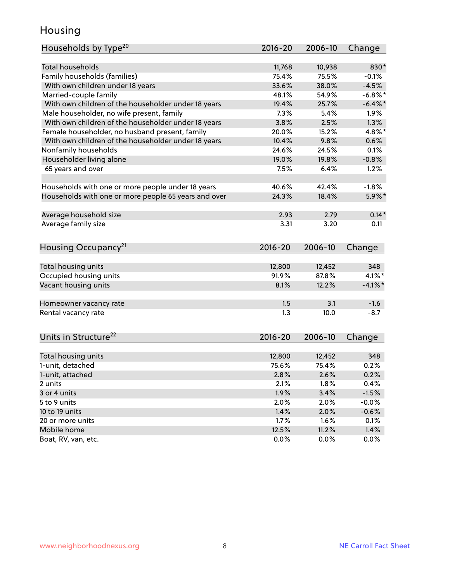## Housing

| Households by Type <sup>20</sup>                     | 2016-20         | 2006-10         | Change       |
|------------------------------------------------------|-----------------|-----------------|--------------|
|                                                      |                 |                 |              |
| <b>Total households</b>                              | 11,768          | 10,938          | 830*         |
| Family households (families)                         | 75.4%           | 75.5%           | $-0.1%$      |
| With own children under 18 years                     | 33.6%           | 38.0%           | $-4.5%$      |
| Married-couple family                                | 48.1%           | 54.9%           | $-6.8\%$ *   |
| With own children of the householder under 18 years  | 19.4%           | 25.7%           | $-6.4\%$ *   |
| Male householder, no wife present, family            | 7.3%            | 5.4%            | 1.9%         |
| With own children of the householder under 18 years  | 3.8%            | 2.5%            | 1.3%         |
| Female householder, no husband present, family       | 20.0%           | 15.2%           | 4.8%*        |
| With own children of the householder under 18 years  | 10.4%           | 9.8%            | 0.6%         |
| Nonfamily households                                 | 24.6%           | 24.5%           | 0.1%         |
| Householder living alone                             | 19.0%           | 19.8%           | $-0.8%$      |
| 65 years and over                                    | 7.5%            | 6.4%            | 1.2%         |
|                                                      |                 |                 |              |
| Households with one or more people under 18 years    | 40.6%           | 42.4%           | $-1.8%$      |
| Households with one or more people 65 years and over | 24.3%           | 18.4%           | 5.9%*        |
| Average household size                               | 2.93            | 2.79            | $0.14*$      |
| Average family size                                  | 3.31            | 3.20            | 0.11         |
|                                                      |                 |                 |              |
| Housing Occupancy <sup>21</sup>                      | $2016 - 20$     | 2006-10         | Change       |
|                                                      |                 |                 |              |
| Total housing units                                  | 12,800<br>91.9% | 12,452<br>87.8% | 348<br>4.1%* |
| Occupied housing units                               |                 | 12.2%           |              |
| Vacant housing units                                 | 8.1%            |                 | $-4.1\%$ *   |
| Homeowner vacancy rate                               | 1.5             | 3.1             | $-1.6$       |
| Rental vacancy rate                                  | 1.3             | 10.0            | $-8.7$       |
|                                                      |                 |                 |              |
| Units in Structure <sup>22</sup>                     | $2016 - 20$     | 2006-10         | Change       |
|                                                      |                 |                 |              |
| Total housing units                                  | 12,800          | 12,452          | 348          |
| 1-unit, detached                                     | 75.6%           | 75.4%           | 0.2%         |
| 1-unit, attached                                     | 2.8%            | 2.6%            | 0.2%         |
| 2 units                                              | 2.1%            | 1.8%            | 0.4%         |
| 3 or 4 units                                         | 1.9%            | 3.4%            | $-1.5%$      |
| 5 to 9 units                                         | 2.0%            | 2.0%            | $-0.0%$      |
| 10 to 19 units                                       | 1.4%            | 2.0%            | $-0.6%$      |
| 20 or more units                                     | 1.7%            | 1.6%            | 0.1%         |
| Mobile home                                          | 12.5%           | 11.2%           | 1.4%         |
| Boat, RV, van, etc.                                  | 0.0%            | 0.0%            | 0.0%         |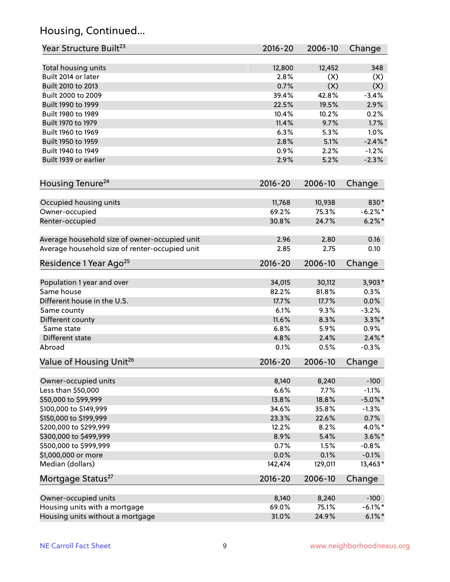## Housing, Continued...

| Year Structure Built <sup>23</sup>             | 2016-20     | 2006-10 | Change     |
|------------------------------------------------|-------------|---------|------------|
| Total housing units                            | 12,800      | 12,452  | 348        |
| Built 2014 or later                            | 2.8%        | (X)     | (X)        |
| Built 2010 to 2013                             | 0.7%        | (X)     | (X)        |
| Built 2000 to 2009                             | 39.4%       | 42.8%   | $-3.4%$    |
|                                                |             |         |            |
| Built 1990 to 1999                             | 22.5%       | 19.5%   | 2.9%       |
| Built 1980 to 1989                             | 10.4%       | 10.2%   | 0.2%       |
| Built 1970 to 1979                             | 11.4%       | 9.7%    | 1.7%       |
| Built 1960 to 1969                             | 6.3%        | 5.3%    | 1.0%       |
| Built 1950 to 1959                             | 2.8%        | 5.1%    | $-2.4\%$ * |
| Built 1940 to 1949                             | 0.9%        | 2.2%    | $-1.2%$    |
| Built 1939 or earlier                          | 2.9%        | 5.2%    | $-2.3%$    |
| Housing Tenure <sup>24</sup>                   | $2016 - 20$ | 2006-10 | Change     |
| Occupied housing units                         | 11,768      | 10,938  | 830*       |
| Owner-occupied                                 | 69.2%       | 75.3%   | $-6.2%$ *  |
| Renter-occupied                                | 30.8%       | 24.7%   | $6.2\% *$  |
|                                                |             |         |            |
| Average household size of owner-occupied unit  | 2.96        | 2.80    | 0.16       |
| Average household size of renter-occupied unit | 2.85        | 2.75    | 0.10       |
| Residence 1 Year Ago <sup>25</sup>             | 2016-20     | 2006-10 | Change     |
|                                                |             |         |            |
| Population 1 year and over                     | 34,015      | 30,112  | $3,903*$   |
| Same house                                     | 82.2%       | 81.8%   | 0.3%       |
| Different house in the U.S.                    | 17.7%       | 17.7%   | 0.0%       |
| Same county                                    | 6.1%        | 9.3%    | $-3.2%$    |
| Different county                               | 11.6%       | 8.3%    | $3.3\%$ *  |
| Same state                                     | 6.8%        | 5.9%    | 0.9%       |
| Different state                                | 4.8%        | 2.4%    | $2.4\%$ *  |
| Abroad                                         | 0.1%        | 0.5%    | $-0.3%$    |
| Value of Housing Unit <sup>26</sup>            | 2016-20     | 2006-10 | Change     |
|                                                |             |         |            |
| Owner-occupied units                           | 8,140       | 8,240   | $-100$     |
| Less than \$50,000                             | 6.6%        | 7.7%    | $-1.1%$    |
| \$50,000 to \$99,999                           | 13.8%       | 18.8%   | $-5.0\%$ * |
| \$100,000 to \$149,999                         | 34.6%       | 35.8%   | $-1.3%$    |
| \$150,000 to \$199,999                         | 23.3%       | 22.6%   | 0.7%       |
| \$200,000 to \$299,999                         | 12.2%       | 8.2%    | 4.0%*      |
| \$300,000 to \$499,999                         | 8.9%        | 5.4%    | $3.6\%$ *  |
| \$500,000 to \$999,999                         | 0.7%        | 1.5%    | $-0.8%$    |
| \$1,000,000 or more                            | 0.0%        | 0.1%    | $-0.1%$    |
| Median (dollars)                               | 142,474     | 129,011 | 13,463*    |
| Mortgage Status <sup>27</sup>                  | 2016-20     | 2006-10 | Change     |
|                                                |             |         |            |
| Owner-occupied units                           | 8,140       | 8,240   | $-100$     |
| Housing units with a mortgage                  | 69.0%       | 75.1%   | $-6.1\%$ * |
| Housing units without a mortgage               | 31.0%       | 24.9%   | $6.1\%$ *  |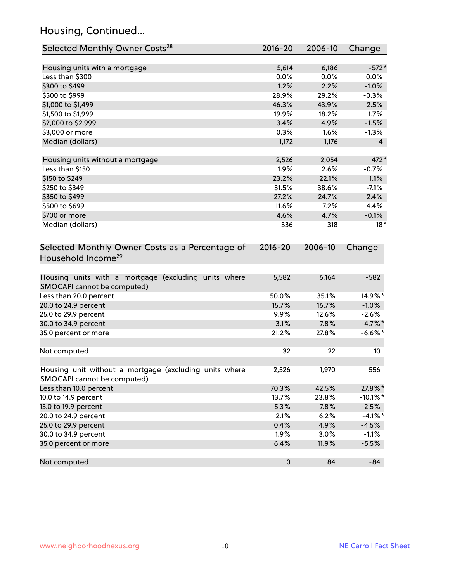## Housing, Continued...

| Selected Monthly Owner Costs <sup>28</sup>                                            | 2016-20     | 2006-10 | Change      |
|---------------------------------------------------------------------------------------|-------------|---------|-------------|
| Housing units with a mortgage                                                         | 5,614       | 6,186   | $-572*$     |
| Less than \$300                                                                       | 0.0%        | 0.0%    | 0.0%        |
| \$300 to \$499                                                                        | 1.2%        | 2.2%    | $-1.0%$     |
| \$500 to \$999                                                                        | 28.9%       | 29.2%   | $-0.3%$     |
| \$1,000 to \$1,499                                                                    | 46.3%       | 43.9%   | 2.5%        |
| \$1,500 to \$1,999                                                                    | 19.9%       | 18.2%   | 1.7%        |
| \$2,000 to \$2,999                                                                    | 3.4%        | 4.9%    | $-1.5%$     |
| \$3,000 or more                                                                       | 0.3%        | 1.6%    | $-1.3%$     |
| Median (dollars)                                                                      | 1,172       | 1,176   | $-4$        |
| Housing units without a mortgage                                                      | 2,526       | 2,054   | 472*        |
| Less than \$150                                                                       | 1.9%        | 2.6%    | $-0.7%$     |
| \$150 to \$249                                                                        | 23.2%       | 22.1%   | 1.1%        |
| \$250 to \$349                                                                        | 31.5%       | 38.6%   | $-7.1%$     |
| \$350 to \$499                                                                        | 27.2%       | 24.7%   | 2.4%        |
| \$500 to \$699                                                                        | 11.6%       | 7.2%    | 4.4%        |
| \$700 or more                                                                         | 4.6%        | 4.7%    | $-0.1%$     |
| Median (dollars)                                                                      | 336         | 318     | $18*$       |
| Selected Monthly Owner Costs as a Percentage of<br>Household Income <sup>29</sup>     | $2016 - 20$ | 2006-10 | Change      |
| Housing units with a mortgage (excluding units where<br>SMOCAPI cannot be computed)   | 5,582       | 6,164   | $-582$      |
| Less than 20.0 percent                                                                | 50.0%       | 35.1%   | 14.9%*      |
| 20.0 to 24.9 percent                                                                  | 15.7%       | 16.7%   | $-1.0%$     |
| 25.0 to 29.9 percent                                                                  | 9.9%        | 12.6%   | $-2.6%$     |
| 30.0 to 34.9 percent                                                                  | 3.1%        | 7.8%    | $-4.7\%$ *  |
| 35.0 percent or more                                                                  | 21.2%       | 27.8%   | $-6.6\%$ *  |
| Not computed                                                                          | 32          | 22      | 10          |
| Housing unit without a mortgage (excluding units where<br>SMOCAPI cannot be computed) | 2,526       | 1,970   | 556         |
| Less than 10.0 percent                                                                | 70.3%       | 42.5%   | 27.8%*      |
| 10.0 to 14.9 percent                                                                  | 13.7%       | 23.8%   | $-10.1\%$ * |
| 15.0 to 19.9 percent                                                                  | 5.3%        | 7.8%    | $-2.5%$     |
| 20.0 to 24.9 percent                                                                  | 2.1%        | 6.2%    | $-4.1\%$ *  |
| 25.0 to 29.9 percent                                                                  | 0.4%        | 4.9%    | $-4.5%$     |
| 30.0 to 34.9 percent                                                                  | 1.9%        | 3.0%    | $-1.1%$     |
| 35.0 percent or more                                                                  | 6.4%        | 11.9%   | $-5.5%$     |
| Not computed                                                                          | $\pmb{0}$   | 84      | $-84$       |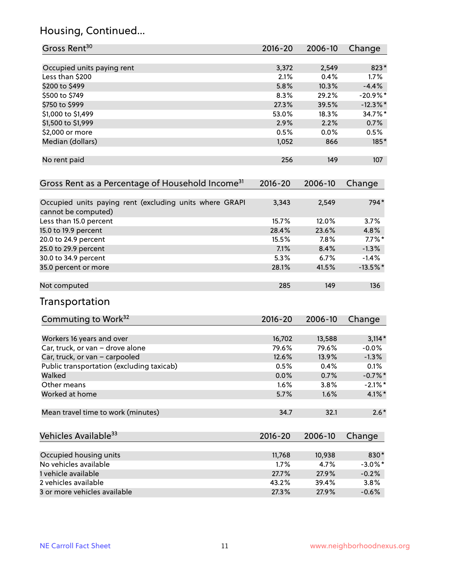## Housing, Continued...

| Gross Rent <sup>30</sup>                                                       | 2016-20 | 2006-10 | Change      |
|--------------------------------------------------------------------------------|---------|---------|-------------|
| Occupied units paying rent                                                     | 3,372   | 2,549   | 823*        |
| Less than \$200                                                                | 2.1%    | 0.4%    | 1.7%        |
| \$200 to \$499                                                                 | 5.8%    | 10.3%   | $-4.4%$     |
| \$500 to \$749                                                                 | 8.3%    | 29.2%   | $-20.9%$ *  |
| \$750 to \$999                                                                 | 27.3%   | 39.5%   | $-12.3\%$ * |
| \$1,000 to \$1,499                                                             | 53.0%   | 18.3%   | 34.7%*      |
| \$1,500 to \$1,999                                                             | 2.9%    | 2.2%    | 0.7%        |
| \$2,000 or more                                                                | 0.5%    | 0.0%    | 0.5%        |
| Median (dollars)                                                               | 1,052   | 866     | $185*$      |
| No rent paid                                                                   | 256     | 149     | 107         |
| Gross Rent as a Percentage of Household Income <sup>31</sup>                   | 2016-20 | 2006-10 | Change      |
| Occupied units paying rent (excluding units where GRAPI<br>cannot be computed) | 3,343   | 2,549   | 794*        |
| Less than 15.0 percent                                                         | 15.7%   | 12.0%   | 3.7%        |
| 15.0 to 19.9 percent                                                           | 28.4%   | 23.6%   | 4.8%        |
| 20.0 to 24.9 percent                                                           | 15.5%   | 7.8%    | $7.7\%$ *   |
| 25.0 to 29.9 percent                                                           | 7.1%    | 8.4%    | $-1.3%$     |
| 30.0 to 34.9 percent                                                           | 5.3%    | 6.7%    | $-1.4%$     |
| 35.0 percent or more                                                           | 28.1%   | 41.5%   | $-13.5\%$ * |
| Not computed                                                                   | 285     | 149     | 136         |
| Transportation                                                                 |         |         |             |
| Commuting to Work <sup>32</sup>                                                | 2016-20 | 2006-10 | Change      |
| Workers 16 years and over                                                      | 16,702  | 13,588  | $3,114*$    |
| Car, truck, or van - drove alone                                               | 79.6%   | 79.6%   | $-0.0%$     |
| Car, truck, or van - carpooled                                                 | 12.6%   | 13.9%   | $-1.3%$     |
| Public transportation (excluding taxicab)                                      | 0.5%    | 0.4%    | 0.1%        |
| Walked                                                                         | 0.0%    | 0.7%    | $-0.7%$ *   |
| Other means                                                                    | 1.6%    | 3.8%    | $-2.1\%$ *  |
| Worked at home                                                                 | 5.7%    | 1.6%    | 4.1%*       |
| Mean travel time to work (minutes)                                             | 34.7    | 32.1    | $2.6*$      |
| Vehicles Available <sup>33</sup>                                               | 2016-20 | 2006-10 | Change      |
| Occupied housing units                                                         | 11,768  | 10,938  | 830*        |
| No vehicles available                                                          | 1.7%    | 4.7%    | $-3.0\%$ *  |
| 1 vehicle available                                                            | 27.7%   | 27.9%   | $-0.2%$     |
| 2 vehicles available                                                           | 43.2%   | 39.4%   | 3.8%        |
| 3 or more vehicles available                                                   | 27.3%   | 27.9%   | $-0.6%$     |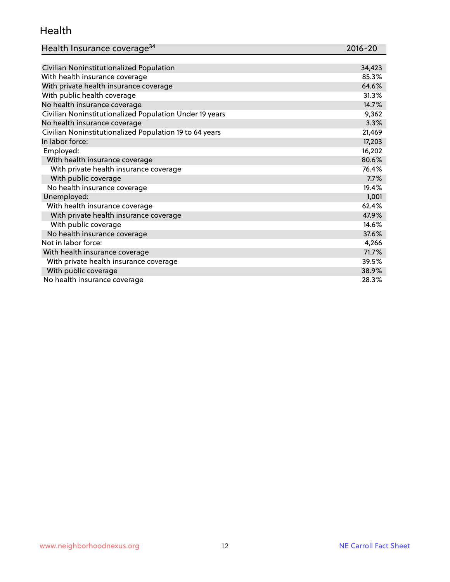### Health

| Health Insurance coverage <sup>34</sup> | 2016-20 |
|-----------------------------------------|---------|
|-----------------------------------------|---------|

| Civilian Noninstitutionalized Population                | 34,423 |
|---------------------------------------------------------|--------|
| With health insurance coverage                          | 85.3%  |
| With private health insurance coverage                  | 64.6%  |
| With public health coverage                             | 31.3%  |
| No health insurance coverage                            | 14.7%  |
| Civilian Noninstitutionalized Population Under 19 years | 9,362  |
| No health insurance coverage                            | 3.3%   |
| Civilian Noninstitutionalized Population 19 to 64 years | 21,469 |
| In labor force:                                         | 17,203 |
| Employed:                                               | 16,202 |
| With health insurance coverage                          | 80.6%  |
| With private health insurance coverage                  | 76.4%  |
| With public coverage                                    | 7.7%   |
| No health insurance coverage                            | 19.4%  |
| Unemployed:                                             | 1,001  |
| With health insurance coverage                          | 62.4%  |
| With private health insurance coverage                  | 47.9%  |
| With public coverage                                    | 14.6%  |
| No health insurance coverage                            | 37.6%  |
| Not in labor force:                                     | 4,266  |
| With health insurance coverage                          | 71.7%  |
| With private health insurance coverage                  | 39.5%  |
| With public coverage                                    | 38.9%  |
| No health insurance coverage                            | 28.3%  |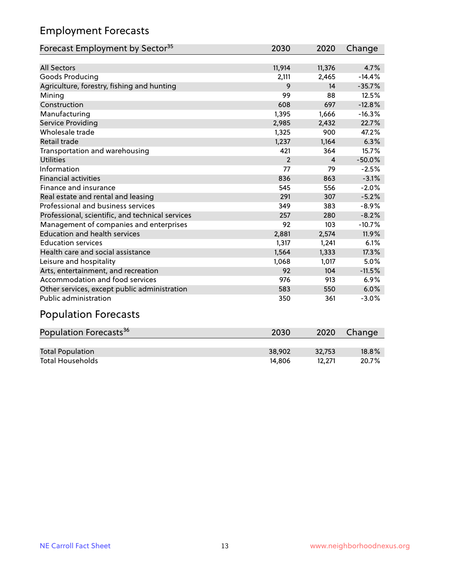## Employment Forecasts

| Forecast Employment by Sector <sup>35</sup>      | 2030           | 2020   | Change   |
|--------------------------------------------------|----------------|--------|----------|
|                                                  |                |        |          |
| <b>All Sectors</b>                               | 11,914         | 11,376 | 4.7%     |
| Goods Producing                                  | 2,111          | 2,465  | $-14.4%$ |
| Agriculture, forestry, fishing and hunting       | 9              | 14     | $-35.7%$ |
| Mining                                           | 99             | 88     | 12.5%    |
| Construction                                     | 608            | 697    | $-12.8%$ |
| Manufacturing                                    | 1,395          | 1,666  | $-16.3%$ |
| <b>Service Providing</b>                         | 2,985          | 2,432  | 22.7%    |
| Wholesale trade                                  | 1,325          | 900    | 47.2%    |
| Retail trade                                     | 1,237          | 1,164  | 6.3%     |
| Transportation and warehousing                   | 421            | 364    | 15.7%    |
| <b>Utilities</b>                                 | $\overline{2}$ | 4      | $-50.0%$ |
| Information                                      | 77             | 79     | $-2.5%$  |
| <b>Financial activities</b>                      | 836            | 863    | $-3.1%$  |
| Finance and insurance                            | 545            | 556    | $-2.0%$  |
| Real estate and rental and leasing               | 291            | 307    | $-5.2%$  |
| Professional and business services               | 349            | 383    | $-8.9%$  |
| Professional, scientific, and technical services | 257            | 280    | $-8.2%$  |
| Management of companies and enterprises          | 92             | 103    | $-10.7%$ |
| <b>Education and health services</b>             | 2,881          | 2,574  | 11.9%    |
| <b>Education services</b>                        | 1,317          | 1,241  | 6.1%     |
| Health care and social assistance                | 1,564          | 1,333  | 17.3%    |
| Leisure and hospitality                          | 1,068          | 1,017  | 5.0%     |
| Arts, entertainment, and recreation              | 92             | 104    | $-11.5%$ |
| Accommodation and food services                  | 976            | 913    | 6.9%     |
| Other services, except public administration     | 583            | 550    | 6.0%     |
| <b>Public administration</b>                     | 350            | 361    | $-3.0%$  |
| <b>Population Forecasts</b>                      |                |        |          |

| Population Forecasts <sup>36</sup> | 2030   | 2020   | Change   |
|------------------------------------|--------|--------|----------|
|                                    |        |        |          |
| <b>Total Population</b>            | 38.902 | 32.753 | $18.8\%$ |
| <b>Total Households</b>            | 14.806 | 12.271 | 20.7%    |